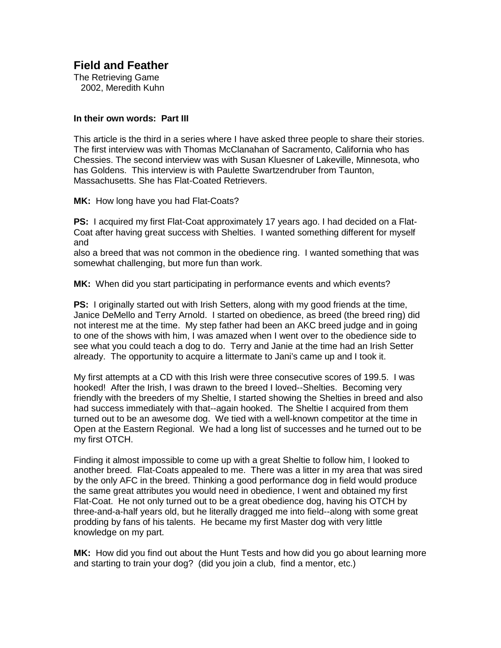**Field and Feather** 

The Retrieving Game 2002, Meredith Kuhn

## **In their own words: Part III**

This article is the third in a series where I have asked three people to share their stories. The first interview was with Thomas McClanahan of Sacramento, California who has Chessies. The second interview was with Susan Kluesner of Lakeville, Minnesota, who has Goldens. This interview is with Paulette Swartzendruber from Taunton, Massachusetts. She has Flat-Coated Retrievers.

**MK:** How long have you had Flat-Coats?

**PS:** I acquired my first Flat-Coat approximately 17 years ago. I had decided on a Flat-Coat after having great success with Shelties. I wanted something different for myself and

also a breed that was not common in the obedience ring. I wanted something that was somewhat challenging, but more fun than work.

**MK:** When did you start participating in performance events and which events?

**PS:** I originally started out with Irish Setters, along with my good friends at the time, Janice DeMello and Terry Arnold. I started on obedience, as breed (the breed ring) did not interest me at the time. My step father had been an AKC breed judge and in going to one of the shows with him, I was amazed when I went over to the obedience side to see what you could teach a dog to do. Terry and Janie at the time had an Irish Setter already. The opportunity to acquire a littermate to Jani's came up and I took it.

My first attempts at a CD with this Irish were three consecutive scores of 199.5. I was hooked! After the Irish, I was drawn to the breed I loved--Shelties. Becoming very friendly with the breeders of my Sheltie, I started showing the Shelties in breed and also had success immediately with that--again hooked. The Sheltie I acquired from them turned out to be an awesome dog. We tied with a well-known competitor at the time in Open at the Eastern Regional. We had a long list of successes and he turned out to be my first OTCH.

Finding it almost impossible to come up with a great Sheltie to follow him, I looked to another breed. Flat-Coats appealed to me. There was a litter in my area that was sired by the only AFC in the breed. Thinking a good performance dog in field would produce the same great attributes you would need in obedience, I went and obtained my first Flat-Coat. He not only turned out to be a great obedience dog, having his OTCH by three-and-a-half years old, but he literally dragged me into field--along with some great prodding by fans of his talents. He became my first Master dog with very little knowledge on my part.

**MK:** How did you find out about the Hunt Tests and how did you go about learning more and starting to train your dog? (did you join a club, find a mentor, etc.)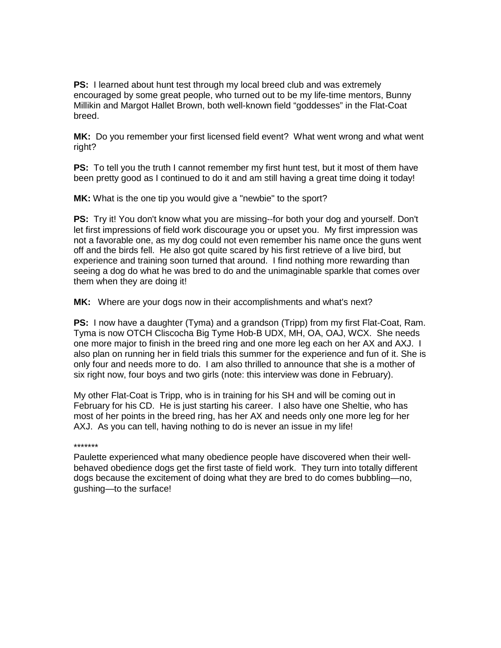**PS:** I learned about hunt test through my local breed club and was extremely encouraged by some great people, who turned out to be my life-time mentors, Bunny Millikin and Margot Hallet Brown, both well-known field "goddesses" in the Flat-Coat breed.

**MK:** Do you remember your first licensed field event? What went wrong and what went right?

**PS:** To tell you the truth I cannot remember my first hunt test, but it most of them have been pretty good as I continued to do it and am still having a great time doing it today!

**MK:** What is the one tip you would give a "newbie" to the sport?

**PS:** Try it! You don't know what you are missing--for both your dog and yourself. Don't let first impressions of field work discourage you or upset you. My first impression was not a favorable one, as my dog could not even remember his name once the guns went off and the birds fell. He also got quite scared by his first retrieve of a live bird, but experience and training soon turned that around. I find nothing more rewarding than seeing a dog do what he was bred to do and the unimaginable sparkle that comes over them when they are doing it!

**MK:** Where are your dogs now in their accomplishments and what's next?

**PS:** I now have a daughter (Tyma) and a grandson (Tripp) from my first Flat-Coat, Ram. Tyma is now OTCH Cliscocha Big Tyme Hob-B UDX, MH, OA, OAJ, WCX. She needs one more major to finish in the breed ring and one more leg each on her AX and AXJ. I also plan on running her in field trials this summer for the experience and fun of it. She is only four and needs more to do. I am also thrilled to announce that she is a mother of six right now, four boys and two girls (note: this interview was done in February).

My other Flat-Coat is Tripp, who is in training for his SH and will be coming out in February for his CD. He is just starting his career. I also have one Sheltie, who has most of her points in the breed ring, has her AX and needs only one more leg for her AXJ. As you can tell, having nothing to do is never an issue in my life!

\*\*\*\*\*\*\*

Paulette experienced what many obedience people have discovered when their wellbehaved obedience dogs get the first taste of field work. They turn into totally different dogs because the excitement of doing what they are bred to do comes bubbling—no, gushing—to the surface!